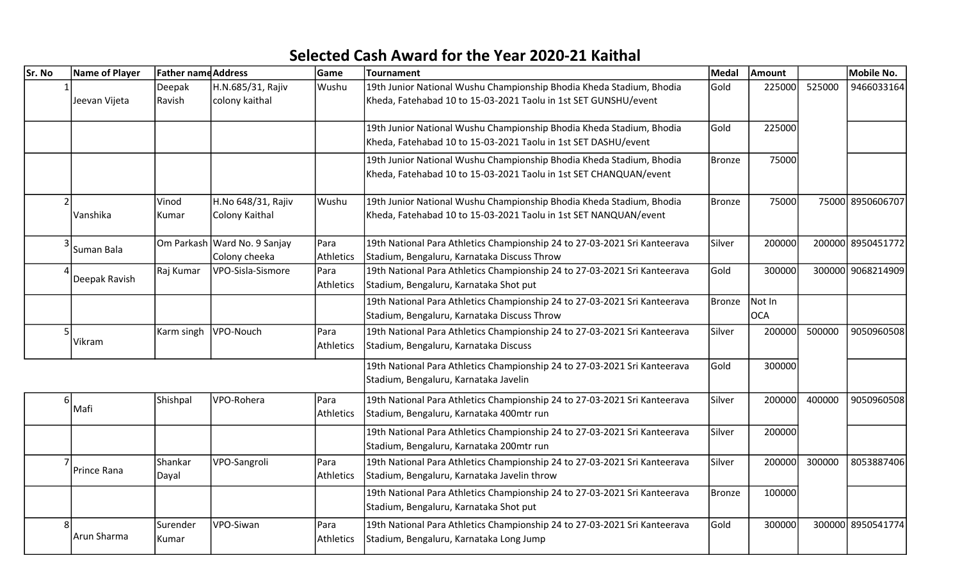## Selected Cash Award for the Year 2020-21 Kaithal

| Sr. No                   | <b>Name of Player</b> | <b>Father name Address</b> |                                               | <b>Game</b>       | Tournament                                                                                                                                | <b>Medal</b>  | Amount               |        | Mobile No.        |
|--------------------------|-----------------------|----------------------------|-----------------------------------------------|-------------------|-------------------------------------------------------------------------------------------------------------------------------------------|---------------|----------------------|--------|-------------------|
|                          | Jeevan Vijeta         | Deepak<br>Ravish           | H.N.685/31, Rajiv<br>colony kaithal           | Wushu             | 19th Junior National Wushu Championship Bhodia Kheda Stadium, Bhodia<br>Kheda, Fatehabad 10 to 15-03-2021 Taolu in 1st SET GUNSHU/event   | Gold          | 225000               | 525000 | 9466033164        |
|                          |                       |                            |                                               |                   | 19th Junior National Wushu Championship Bhodia Kheda Stadium, Bhodia<br>Kheda, Fatehabad 10 to 15-03-2021 Taolu in 1st SET DASHU/event    | Gold          | 225000               |        |                   |
|                          |                       |                            |                                               |                   | 19th Junior National Wushu Championship Bhodia Kheda Stadium, Bhodia<br>Kheda, Fatehabad 10 to 15-03-2021 Taolu in 1st SET CHANQUAN/event | <b>Bronze</b> | 75000                |        |                   |
| $\mathcal{I}$            | Vanshika              | Vinod<br>Kumar             | H.No 648/31, Rajiv<br>Colony Kaithal          | Wushu             | 19th Junior National Wushu Championship Bhodia Kheda Stadium, Bhodia<br>Kheda, Fatehabad 10 to 15-03-2021 Taolu in 1st SET NANQUAN/event  | <b>Bronze</b> | 75000                |        | 75000 8950606707  |
|                          | Suman Bala            |                            | Om Parkash Ward No. 9 Sanjay<br>Colony cheeka | Para<br>Athletics | 19th National Para Athletics Championship 24 to 27-03-2021 Sri Kanteerava<br>Stadium, Bengaluru, Karnataka Discuss Throw                  | Silver        | 200000               |        | 200000 8950451772 |
|                          | Deepak Ravish         | Raj Kumar                  | VPO-Sisla-Sismore                             | Para<br>Athletics | 19th National Para Athletics Championship 24 to 27-03-2021 Sri Kanteerava<br>Stadium, Bengaluru, Karnataka Shot put                       | Gold          | 300000               |        | 300000 9068214909 |
|                          |                       |                            |                                               |                   | 19th National Para Athletics Championship 24 to 27-03-2021 Sri Kanteerava<br>Stadium, Bengaluru, Karnataka Discuss Throw                  | <b>Bronze</b> | Not In<br><b>OCA</b> |        |                   |
|                          | Vikram                | Karm singh                 | VPO-Nouch                                     | Para<br>Athletics | 19th National Para Athletics Championship 24 to 27-03-2021 Sri Kanteerava<br>Stadium, Bengaluru, Karnataka Discuss                        | Silver        | 200000               | 500000 | 9050960508        |
|                          |                       |                            |                                               |                   | 19th National Para Athletics Championship 24 to 27-03-2021 Sri Kanteerava<br>Stadium, Bengaluru, Karnataka Javelin                        | Gold          | 300000               |        |                   |
|                          | Mafi                  | Shishpal                   | VPO-Rohera                                    | Para<br>Athletics | 19th National Para Athletics Championship 24 to 27-03-2021 Sri Kanteerava<br>Stadium, Bengaluru, Karnataka 400mtr run                     | Silver        | 200000               | 400000 | 9050960508        |
|                          |                       |                            |                                               |                   | 19th National Para Athletics Championship 24 to 27-03-2021 Sri Kanteerava<br>Stadium, Bengaluru, Karnataka 200mtr run                     | Silver        | 200000               |        |                   |
| $\overline{\phantom{a}}$ | Prince Rana           | Shankar<br>Dayal           | VPO-Sangroli                                  | Para<br>Athletics | 19th National Para Athletics Championship 24 to 27-03-2021 Sri Kanteerava<br>Stadium, Bengaluru, Karnataka Javelin throw                  | Silver        | 200000               | 300000 | 8053887406        |
|                          |                       |                            |                                               |                   | 19th National Para Athletics Championship 24 to 27-03-2021 Sri Kanteerava<br>Stadium, Bengaluru, Karnataka Shot put                       | <b>Bronze</b> | 100000               |        |                   |
| 8                        | Arun Sharma           | Surender<br>Kumar          | VPO-Siwan                                     | Para<br>Athletics | 19th National Para Athletics Championship 24 to 27-03-2021 Sri Kanteerava<br>Stadium, Bengaluru, Karnataka Long Jump                      | Gold          | 300000               |        | 300000 8950541774 |